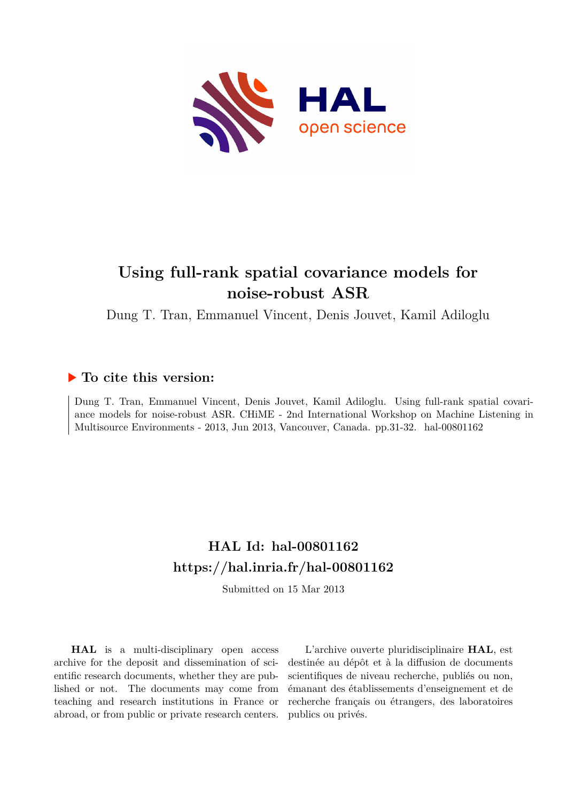

# **Using full-rank spatial covariance models for noise-robust ASR**

Dung T. Tran, Emmanuel Vincent, Denis Jouvet, Kamil Adiloglu

## **To cite this version:**

Dung T. Tran, Emmanuel Vincent, Denis Jouvet, Kamil Adiloglu. Using full-rank spatial covariance models for noise-robust ASR. CHiME - 2nd International Workshop on Machine Listening in Multisource Environments - 2013, Jun 2013, Vancouver, Canada. pp.31-32. hal-00801162

## **HAL Id: hal-00801162 <https://hal.inria.fr/hal-00801162>**

Submitted on 15 Mar 2013

**HAL** is a multi-disciplinary open access archive for the deposit and dissemination of scientific research documents, whether they are published or not. The documents may come from teaching and research institutions in France or abroad, or from public or private research centers.

L'archive ouverte pluridisciplinaire **HAL**, est destinée au dépôt et à la diffusion de documents scientifiques de niveau recherche, publiés ou non, émanant des établissements d'enseignement et de recherche français ou étrangers, des laboratoires publics ou privés.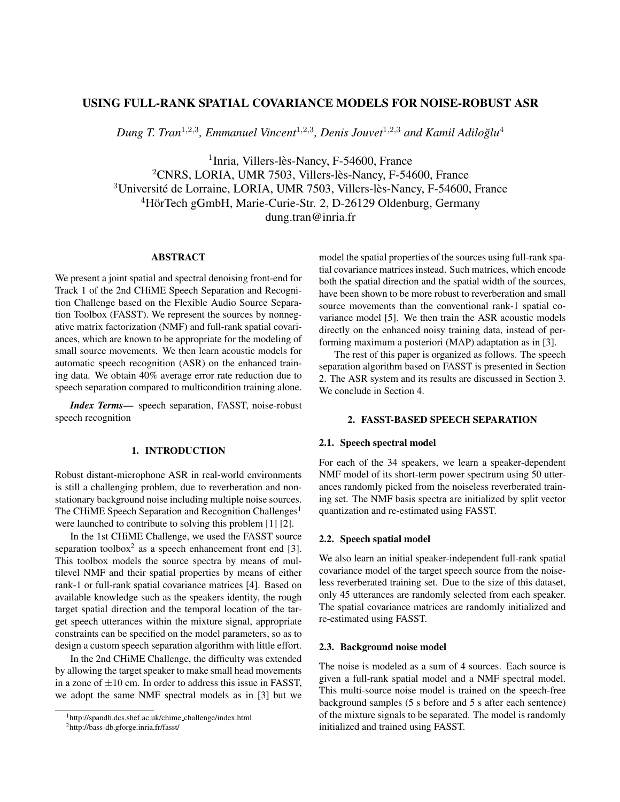## USING FULL-RANK SPATIAL COVARIANCE MODELS FOR NOISE-ROBUST ASR

Dung T. Tran<sup>1,2,3</sup>, Emmanuel Vincent<sup>1,2,3</sup>, Denis Jouvet<sup>1,2,3</sup> and Kamil Adiloğlu<sup>4</sup>

<sup>1</sup>Inria, Villers-lès-Nancy, F-54600, France <sup>2</sup>CNRS, LORIA, UMR 7503, Villers-lès-Nancy, F-54600, France  $3$ Université de Lorraine, LORIA, UMR 7503, Villers-lès-Nancy, F-54600, France <sup>4</sup>HörTech gGmbH, Marie-Curie-Str. 2, D-26129 Oldenburg, Germany dung.tran@inria.fr

## **ABSTRACT**

We present a joint spatial and spectral denoising front-end for Track 1 of the 2nd CHiME Speech Separation and Recognition Challenge based on the Flexible Audio Source Separation Toolbox (FASST). We represent the sources by nonnegative matrix factorization (NMF) and full-rank spatial covariances, which are known to be appropriate for the modeling of small source movements. We then learn acoustic models for automatic speech recognition (ASR) on the enhanced training data. We obtain 40% average error rate reduction due to speech separation compared to multicondition training alone.

*Index Terms*— speech separation, FASST, noise-robust speech recognition

## 1. INTRODUCTION

Robust distant-microphone ASR in real-world environments is still a challenging problem, due to reverberation and nonstationary background noise including multiple noise sources. The CHiME Speech Separation and Recognition Challenges<sup>1</sup> were launched to contribute to solving this problem [1] [2].

In the 1st CHiME Challenge, we used the FASST source separation toolbox<sup>2</sup> as a speech enhancement front end [3]. This toolbox models the source spectra by means of multilevel NMF and their spatial properties by means of either rank-1 or full-rank spatial covariance matrices [4]. Based on available knowledge such as the speakers identity, the rough target spatial direction and the temporal location of the target speech utterances within the mixture signal, appropriate constraints can be specified on the model parameters, so as to design a custom speech separation algorithm with little effort.

In the 2nd CHiME Challenge, the difficulty was extended by allowing the target speaker to make small head movements in a zone of  $\pm 10$  cm. In order to address this issue in FASST, we adopt the same NMF spectral models as in [3] but we model the spatial properties of the sources using full-rank spatial covariance matrices instead. Such matrices, which encode both the spatial direction and the spatial width of the sources, have been shown to be more robust to reverberation and small source movements than the conventional rank-1 spatial covariance model [5]. We then train the ASR acoustic models directly on the enhanced noisy training data, instead of performing maximum a posteriori (MAP) adaptation as in [3].

The rest of this paper is organized as follows. The speech separation algorithm based on FASST is presented in Section 2. The ASR system and its results are discussed in Section 3. We conclude in Section 4.

#### 2. FASST-BASED SPEECH SEPARATION

#### 2.1. Speech spectral model

For each of the 34 speakers, we learn a speaker-dependent NMF model of its short-term power spectrum using 50 utterances randomly picked from the noiseless reverberated training set. The NMF basis spectra are initialized by split vector quantization and re-estimated using FASST.

### 2.2. Speech spatial model

We also learn an initial speaker-independent full-rank spatial covariance model of the target speech source from the noiseless reverberated training set. Due to the size of this dataset, only 45 utterances are randomly selected from each speaker. The spatial covariance matrices are randomly initialized and re-estimated using FASST.

#### 2.3. Background noise model

The noise is modeled as a sum of 4 sources. Each source is given a full-rank spatial model and a NMF spectral model. This multi-source noise model is trained on the speech-free background samples (5 s before and 5 s after each sentence) of the mixture signals to be separated. The model is randomly initialized and trained using FASST.

<sup>1</sup>http://spandh.dcs.shef.ac.uk/chime challenge/index.html

<sup>2</sup>http://bass-db.gforge.inria.fr/fasst/